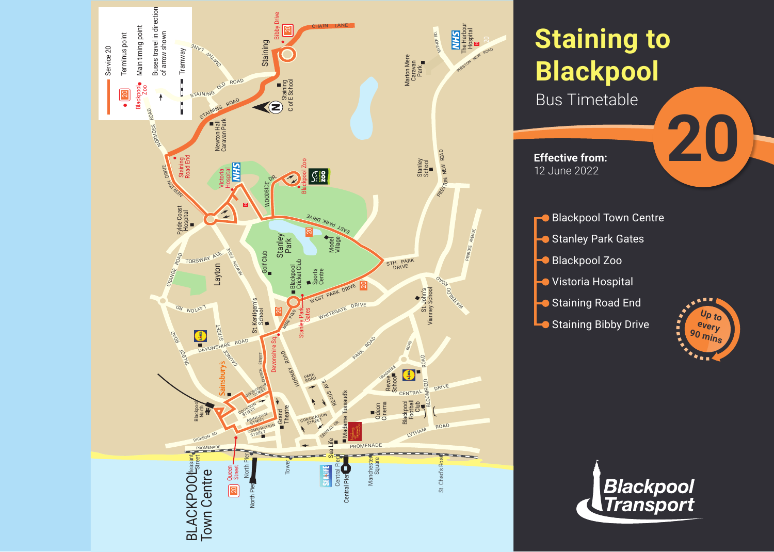

# **Staining to Blackpool**

Bus Timetable

**Effective from:** 12 June 2022





**20**